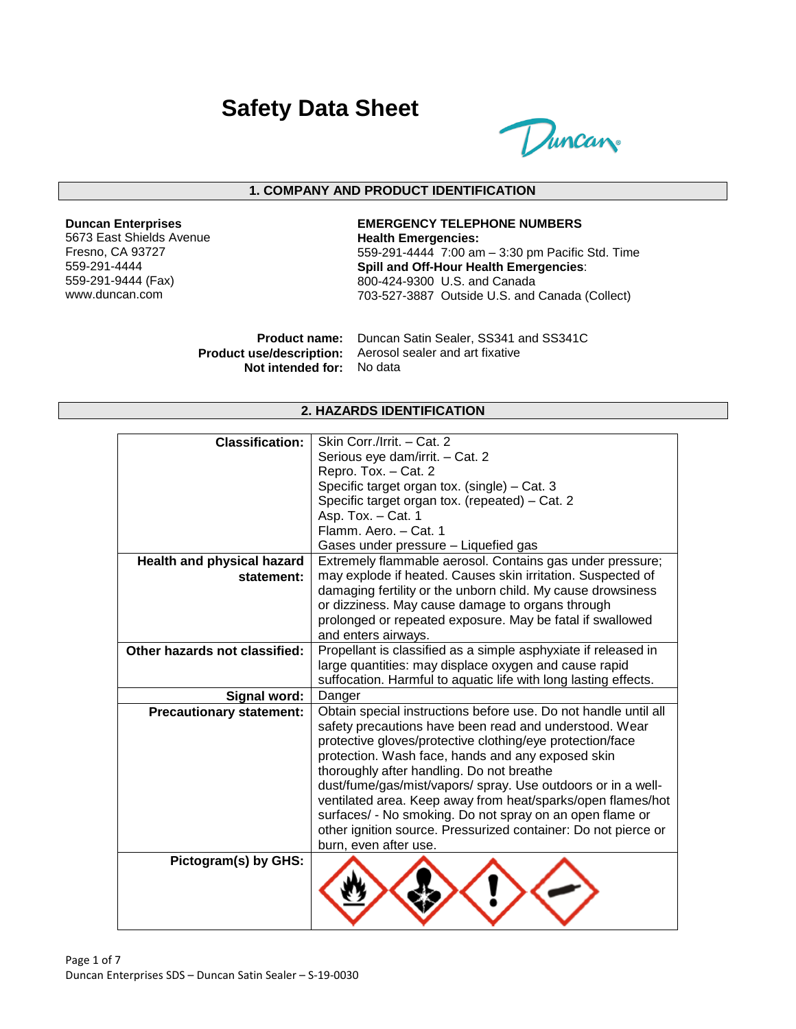# **Safety Data Sheet**



#### **1. COMPANY AND PRODUCT IDENTIFICATION**

#### **Duncan Enterprises**

5673 East Shields Avenue Fresno, CA 93727 559-291-4444 559-291-9444 (Fax) www.duncan.com

#### **EMERGENCY TELEPHONE NUMBERS Health Emergencies:** 559-291-4444 7:00 am – 3:30 pm Pacific Std. Time **Spill and Off-Hour Health Emergencies**: 800-424-9300 U.S. and Canada 703-527-3887 Outside U.S. and Canada (Collect)

**Product name:** Duncan Satin Sealer, SS341 and SS341C **Product use/description:** Aerosol sealer and art fixative **Not intended for:** No data

#### **2. HAZARDS IDENTIFICATION**

| <b>Classification:</b>            | Skin Corr./Irrit. - Cat. 2                                      |
|-----------------------------------|-----------------------------------------------------------------|
|                                   | Serious eye dam/irrit. - Cat. 2                                 |
|                                   | Repro. Tox. - Cat. 2                                            |
|                                   | Specific target organ tox. (single) - Cat. 3                    |
|                                   | Specific target organ tox. (repeated) - Cat. 2                  |
|                                   | Asp. Tox. - Cat. 1                                              |
|                                   | Flamm. Aero. - Cat. 1                                           |
|                                   | Gases under pressure - Liquefied gas                            |
| <b>Health and physical hazard</b> | Extremely flammable aerosol. Contains gas under pressure;       |
| statement:                        | may explode if heated. Causes skin irritation. Suspected of     |
|                                   | damaging fertility or the unborn child. My cause drowsiness     |
|                                   | or dizziness. May cause damage to organs through                |
|                                   | prolonged or repeated exposure. May be fatal if swallowed       |
|                                   | and enters airways.                                             |
| Other hazards not classified:     | Propellant is classified as a simple asphyxiate if released in  |
|                                   | large quantities: may displace oxygen and cause rapid           |
|                                   | suffocation. Harmful to aquatic life with long lasting effects. |
| Signal word:                      | Danger                                                          |
| <b>Precautionary statement:</b>   | Obtain special instructions before use. Do not handle until all |
|                                   | safety precautions have been read and understood. Wear          |
|                                   | protective gloves/protective clothing/eye protection/face       |
|                                   | protection. Wash face, hands and any exposed skin               |
|                                   | thoroughly after handling. Do not breathe                       |
|                                   | dust/fume/gas/mist/vapors/ spray. Use outdoors or in a well-    |
|                                   | ventilated area. Keep away from heat/sparks/open flames/hot     |
|                                   | surfaces/ - No smoking. Do not spray on an open flame or        |
|                                   | other ignition source. Pressurized container: Do not pierce or  |
|                                   | burn, even after use.                                           |
| Pictogram(s) by GHS:              |                                                                 |
|                                   |                                                                 |
|                                   |                                                                 |
|                                   |                                                                 |
|                                   |                                                                 |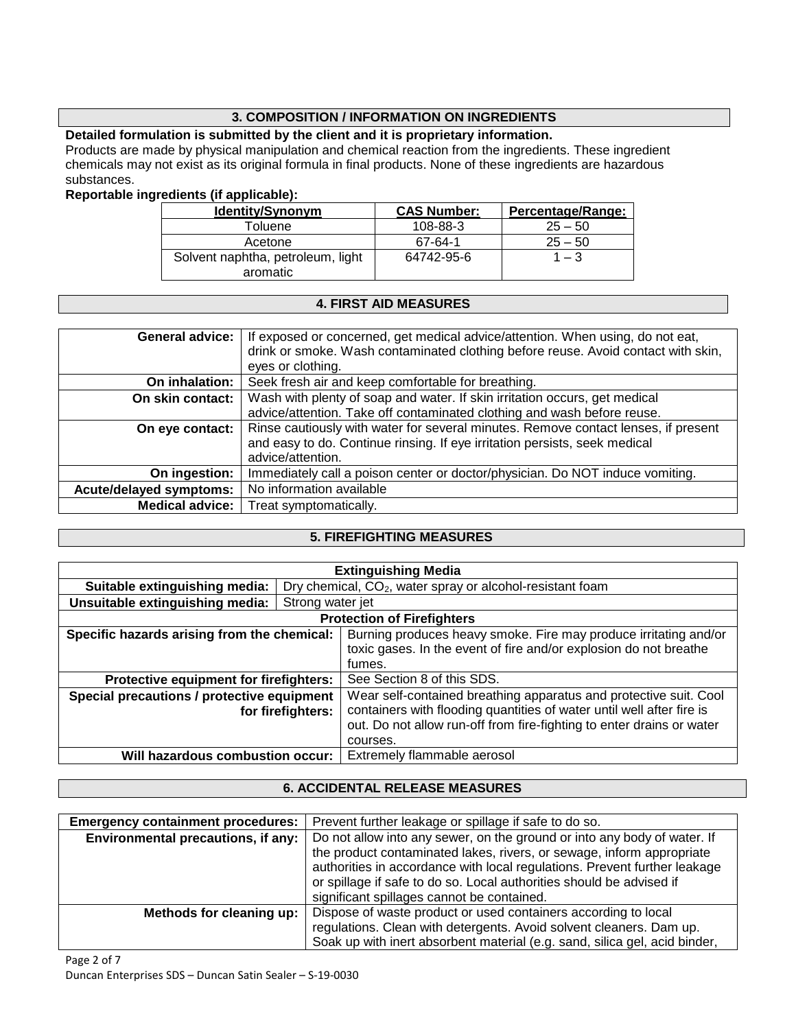## **3. COMPOSITION / INFORMATION ON INGREDIENTS**

## **Detailed formulation is submitted by the client and it is proprietary information.**

Products are made by physical manipulation and chemical reaction from the ingredients. These ingredient chemicals may not exist as its original formula in final products. None of these ingredients are hazardous substances.

#### **Reportable ingredients (if applicable):**

| <b>Identity/Synonym</b>           | <b>CAS Number:</b> | Percentage/Range: |
|-----------------------------------|--------------------|-------------------|
| Toluene                           | 108-88-3           | $25 - 50$         |
| Acetone                           | 67-64-1            | $25 - 50$         |
| Solvent naphtha, petroleum, light | 64742-95-6         | $1 - 3$           |
| aromatic                          |                    |                   |

#### **4. FIRST AID MEASURES**

| <b>General advice:</b>         | If exposed or concerned, get medical advice/attention. When using, do not eat,     |
|--------------------------------|------------------------------------------------------------------------------------|
|                                | drink or smoke. Wash contaminated clothing before reuse. Avoid contact with skin,  |
|                                |                                                                                    |
|                                | eyes or clothing.                                                                  |
| On inhalation:                 | Seek fresh air and keep comfortable for breathing.                                 |
| On skin contact:               | Wash with plenty of soap and water. If skin irritation occurs, get medical         |
|                                | advice/attention. Take off contaminated clothing and wash before reuse.            |
| On eye contact:                | Rinse cautiously with water for several minutes. Remove contact lenses, if present |
|                                |                                                                                    |
|                                | and easy to do. Continue rinsing. If eye irritation persists, seek medical         |
|                                | advice/attention.                                                                  |
| On ingestion:                  | Immediately call a poison center or doctor/physician. Do NOT induce vomiting.      |
| <b>Acute/delayed symptoms:</b> | No information available                                                           |
| <b>Medical advice:</b>         | Treat symptomatically.                                                             |

### **5. FIREFIGHTING MEASURES**

| <b>Extinguishing Media</b>                                      |                  |                                                                       |
|-----------------------------------------------------------------|------------------|-----------------------------------------------------------------------|
| Suitable extinguishing media:                                   |                  | Dry chemical, CO <sub>2</sub> , water spray or alcohol-resistant foam |
| Unsuitable extinguishing media:                                 | Strong water jet |                                                                       |
| <b>Protection of Firefighters</b>                               |                  |                                                                       |
| Specific hazards arising from the chemical:                     |                  | Burning produces heavy smoke. Fire may produce irritating and/or      |
|                                                                 |                  | toxic gases. In the event of fire and/or explosion do not breathe     |
|                                                                 |                  | fumes.                                                                |
| Protective equipment for firefighters:                          |                  | See Section 8 of this SDS.                                            |
| Special precautions / protective equipment                      |                  | Wear self-contained breathing apparatus and protective suit. Cool     |
| for firefighters:                                               |                  | containers with flooding quantities of water until well after fire is |
|                                                                 |                  | out. Do not allow run-off from fire-fighting to enter drains or water |
|                                                                 |                  | courses.                                                              |
| Extremely flammable aerosol<br>Will hazardous combustion occur: |                  |                                                                       |

## **6. ACCIDENTAL RELEASE MEASURES**

| <b>Emergency containment procedures:</b> | Prevent further leakage or spillage if safe to do so.                                                                                                                                                                                                                                                                                                |
|------------------------------------------|------------------------------------------------------------------------------------------------------------------------------------------------------------------------------------------------------------------------------------------------------------------------------------------------------------------------------------------------------|
| Environmental precautions, if any:       | Do not allow into any sewer, on the ground or into any body of water. If<br>the product contaminated lakes, rivers, or sewage, inform appropriate<br>authorities in accordance with local regulations. Prevent further leakage<br>or spillage if safe to do so. Local authorities should be advised if<br>significant spillages cannot be contained. |
| Methods for cleaning up:                 | Dispose of waste product or used containers according to local<br>regulations. Clean with detergents. Avoid solvent cleaners. Dam up.<br>Soak up with inert absorbent material (e.g. sand, silica gel, acid binder,                                                                                                                                  |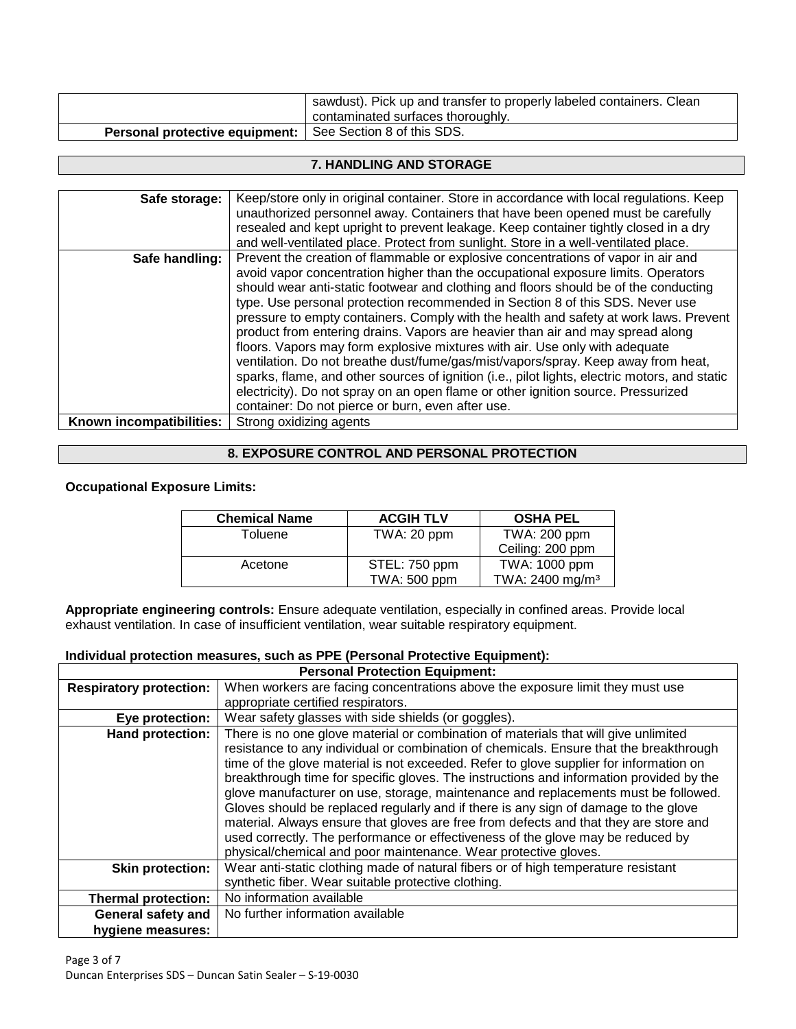|                                                                  | sawdust). Pick up and transfer to properly labeled containers. Clean<br>contaminated surfaces thoroughly. |
|------------------------------------------------------------------|-----------------------------------------------------------------------------------------------------------|
| <b>Personal protective equipment:</b> See Section 8 of this SDS. |                                                                                                           |

#### **7. HANDLING AND STORAGE**

| Safe storage:            | Keep/store only in original container. Store in accordance with local regulations. Keep<br>unauthorized personnel away. Containers that have been opened must be carefully<br>resealed and kept upright to prevent leakage. Keep container tightly closed in a dry                                                                                                                                                                                                                                                                                                                                                                                                                                                                                                                                                                                                                                                                                                          |
|--------------------------|-----------------------------------------------------------------------------------------------------------------------------------------------------------------------------------------------------------------------------------------------------------------------------------------------------------------------------------------------------------------------------------------------------------------------------------------------------------------------------------------------------------------------------------------------------------------------------------------------------------------------------------------------------------------------------------------------------------------------------------------------------------------------------------------------------------------------------------------------------------------------------------------------------------------------------------------------------------------------------|
| Safe handling:           | and well-ventilated place. Protect from sunlight. Store in a well-ventilated place.<br>Prevent the creation of flammable or explosive concentrations of vapor in air and<br>avoid vapor concentration higher than the occupational exposure limits. Operators<br>should wear anti-static footwear and clothing and floors should be of the conducting<br>type. Use personal protection recommended in Section 8 of this SDS. Never use<br>pressure to empty containers. Comply with the health and safety at work laws. Prevent<br>product from entering drains. Vapors are heavier than air and may spread along<br>floors. Vapors may form explosive mixtures with air. Use only with adequate<br>ventilation. Do not breathe dust/fume/gas/mist/vapors/spray. Keep away from heat,<br>sparks, flame, and other sources of ignition (i.e., pilot lights, electric motors, and static<br>electricity). Do not spray on an open flame or other ignition source. Pressurized |
| Known incompatibilities: | container: Do not pierce or burn, even after use.<br>Strong oxidizing agents                                                                                                                                                                                                                                                                                                                                                                                                                                                                                                                                                                                                                                                                                                                                                                                                                                                                                                |

## **8. EXPOSURE CONTROL AND PERSONAL PROTECTION**

#### **Occupational Exposure Limits:**

| <b>Chemical Name</b> | <b>ACGIH TLV</b> | <b>OSHA PEL</b>             |
|----------------------|------------------|-----------------------------|
| Toluene              | TWA: 20 ppm      | TWA: 200 ppm                |
|                      |                  | Ceiling: 200 ppm            |
| Acetone              | STEL: 750 ppm    | TWA: 1000 ppm               |
|                      | TWA: 500 ppm     | TWA: 2400 mg/m <sup>3</sup> |

**Appropriate engineering controls:** Ensure adequate ventilation, especially in confined areas. Provide local exhaust ventilation. In case of insufficient ventilation, wear suitable respiratory equipment.

#### **Individual protection measures, such as PPE (Personal Protective Equipment):**

| <b>Personal Protection Equipment:</b> |                                                                                                                                                                                                                                                                                                                                                                                                                                                                                                                                                                                                                                                                                                                                                                                                |  |
|---------------------------------------|------------------------------------------------------------------------------------------------------------------------------------------------------------------------------------------------------------------------------------------------------------------------------------------------------------------------------------------------------------------------------------------------------------------------------------------------------------------------------------------------------------------------------------------------------------------------------------------------------------------------------------------------------------------------------------------------------------------------------------------------------------------------------------------------|--|
| <b>Respiratory protection:</b>        | When workers are facing concentrations above the exposure limit they must use                                                                                                                                                                                                                                                                                                                                                                                                                                                                                                                                                                                                                                                                                                                  |  |
|                                       | appropriate certified respirators.                                                                                                                                                                                                                                                                                                                                                                                                                                                                                                                                                                                                                                                                                                                                                             |  |
| Eye protection:                       | Wear safety glasses with side shields (or goggles).                                                                                                                                                                                                                                                                                                                                                                                                                                                                                                                                                                                                                                                                                                                                            |  |
| <b>Hand protection:</b>               | There is no one glove material or combination of materials that will give unlimited<br>resistance to any individual or combination of chemicals. Ensure that the breakthrough<br>time of the glove material is not exceeded. Refer to glove supplier for information on<br>breakthrough time for specific gloves. The instructions and information provided by the<br>glove manufacturer on use, storage, maintenance and replacements must be followed.<br>Gloves should be replaced regularly and if there is any sign of damage to the glove<br>material. Always ensure that gloves are free from defects and that they are store and<br>used correctly. The performance or effectiveness of the glove may be reduced by<br>physical/chemical and poor maintenance. Wear protective gloves. |  |
| <b>Skin protection:</b>               | Wear anti-static clothing made of natural fibers or of high temperature resistant<br>synthetic fiber. Wear suitable protective clothing.                                                                                                                                                                                                                                                                                                                                                                                                                                                                                                                                                                                                                                                       |  |
| <b>Thermal protection:</b>            | No information available                                                                                                                                                                                                                                                                                                                                                                                                                                                                                                                                                                                                                                                                                                                                                                       |  |
| General safety and                    | No further information available                                                                                                                                                                                                                                                                                                                                                                                                                                                                                                                                                                                                                                                                                                                                                               |  |
| hygiene measures:                     |                                                                                                                                                                                                                                                                                                                                                                                                                                                                                                                                                                                                                                                                                                                                                                                                |  |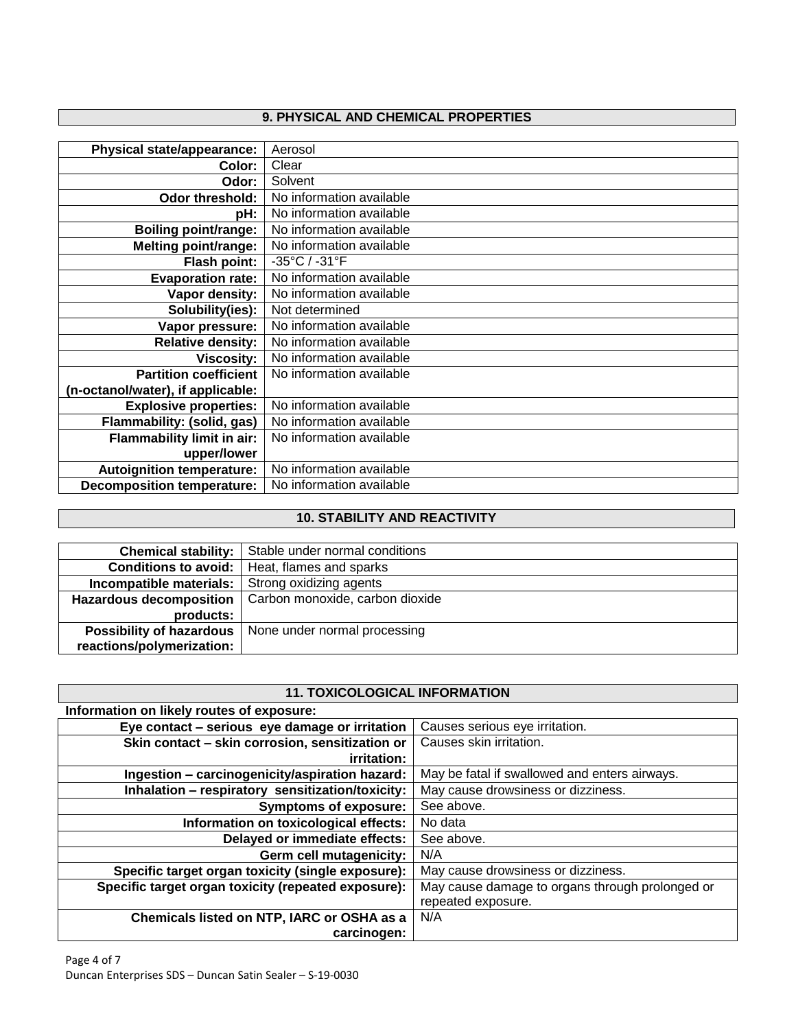# **9. PHYSICAL AND CHEMICAL PROPERTIES**

| <b>Physical state/appearance:</b> | Aerosol                  |
|-----------------------------------|--------------------------|
| Color:                            | Clear                    |
| Odor:                             | Solvent                  |
| Odor threshold:                   | No information available |
| pH:                               | No information available |
| <b>Boiling point/range:</b>       | No information available |
| <b>Melting point/range:</b>       | No information available |
| Flash point:                      | -35°C / -31°F            |
| <b>Evaporation rate:</b>          | No information available |
| Vapor density:                    | No information available |
| Solubility(ies):                  | Not determined           |
| Vapor pressure:                   | No information available |
| <b>Relative density:</b>          | No information available |
| <b>Viscosity:</b>                 | No information available |
| <b>Partition coefficient</b>      | No information available |
| (n-octanol/water), if applicable: |                          |
| <b>Explosive properties:</b>      | No information available |
| Flammability: (solid, gas)        | No information available |
| Flammability limit in air:        | No information available |
| upper/lower                       |                          |
| <b>Autoignition temperature:</b>  | No information available |
| <b>Decomposition temperature:</b> | No information available |

# **10. STABILITY AND REACTIVITY**

| <b>Chemical stability:</b>     | Stable under normal conditions                                 |
|--------------------------------|----------------------------------------------------------------|
| Conditions to avoid:           | Heat, flames and sparks                                        |
| Incompatible materials:        | Strong oxidizing agents                                        |
| <b>Hazardous decomposition</b> | Carbon monoxide, carbon dioxide                                |
| products:                      |                                                                |
|                                | <b>Possibility of hazardous</b>   None under normal processing |
| reactions/polymerization:      |                                                                |

## **11. TOXICOLOGICAL INFORMATION**

| Information on likely routes of exposure:           |                                                 |
|-----------------------------------------------------|-------------------------------------------------|
| Eye contact – serious eye damage or irritation      | Causes serious eye irritation.                  |
| Skin contact - skin corrosion, sensitization or     | Causes skin irritation.                         |
| irritation:                                         |                                                 |
| Ingestion - carcinogenicity/aspiration hazard:      | May be fatal if swallowed and enters airways.   |
| Inhalation - respiratory sensitization/toxicity:    | May cause drowsiness or dizziness.              |
| <b>Symptoms of exposure:</b>                        | See above.                                      |
| Information on toxicological effects:               | No data                                         |
| Delayed or immediate effects:                       | See above.                                      |
| Germ cell mutagenicity:                             | N/A                                             |
| Specific target organ toxicity (single exposure):   | May cause drowsiness or dizziness.              |
| Specific target organ toxicity (repeated exposure): | May cause damage to organs through prolonged or |
|                                                     | repeated exposure.                              |
| Chemicals listed on NTP, IARC or OSHA as a          | N/A                                             |
| carcinogen:                                         |                                                 |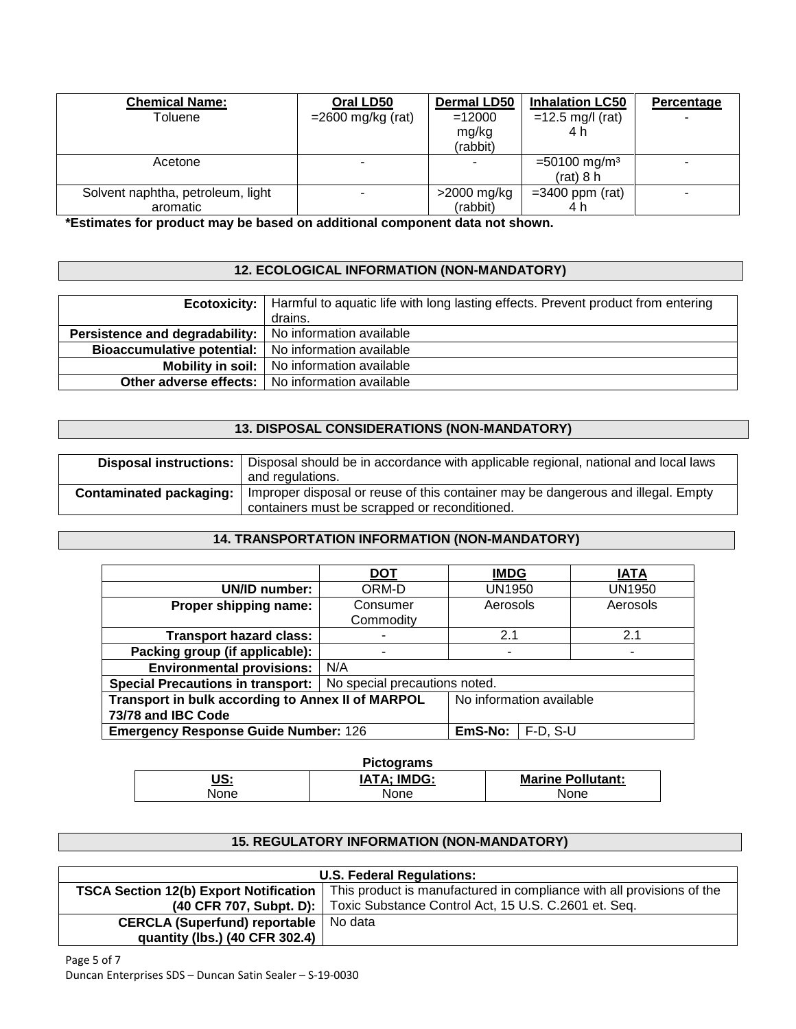| <b>Chemical Name:</b><br>Toluene              | Oral LD50<br>$=$ 2600 mg/kg (rat) | <b>Dermal LD50</b><br>$=12000$<br>mg/kg<br>(rabbit) | <b>Inhalation LC50</b><br>$=12.5$ mg/l (rat)<br>4 h | Percentage |
|-----------------------------------------------|-----------------------------------|-----------------------------------------------------|-----------------------------------------------------|------------|
| Acetone                                       | -                                 |                                                     | $=$ 50100 mg/m <sup>3</sup><br>$(rat)$ 8 h          |            |
| Solvent naphtha, petroleum, light<br>aromatic |                                   | >2000 mg/kg<br>(rabbit)                             | $=3400$ ppm (rat)<br>4 h                            |            |

**\*Estimates for product may be based on additional component data not shown.**

# **12. ECOLOGICAL INFORMATION (NON-MANDATORY)**

|                                                                  | <b>Ecotoxicity:</b>   Harmful to aquatic life with long lasting effects. Prevent product from entering<br>drains. |
|------------------------------------------------------------------|-------------------------------------------------------------------------------------------------------------------|
| <b>Persistence and degradability:</b>   No information available |                                                                                                                   |
| Bioaccumulative potential:   No information available            |                                                                                                                   |
|                                                                  | <b>Mobility in soil:</b>   No information available                                                               |
|                                                                  | <b>Other adverse effects:</b>   No information available                                                          |

# **13. DISPOSAL CONSIDERATIONS (NON-MANDATORY)**

| Disposal instructions: I       | Disposal should be in accordance with applicable regional, national and local laws |  |  |
|--------------------------------|------------------------------------------------------------------------------------|--|--|
|                                | and regulations.                                                                   |  |  |
| <b>Contaminated packaging:</b> | Improper disposal or reuse of this container may be dangerous and illegal. Empty   |  |  |
|                                | containers must be scrapped or reconditioned.                                      |  |  |

# **14. TRANSPORTATION INFORMATION (NON-MANDATORY)**

|                                                                           | <b>DOT</b>            | <b>IMDG</b>              |  | <b>IATA</b> |
|---------------------------------------------------------------------------|-----------------------|--------------------------|--|-------------|
| UN/ID number:                                                             | ORM-D                 | UN1950                   |  | UN1950      |
| Proper shipping name:                                                     | Consumer<br>Commodity | Aerosols                 |  | Aerosols    |
| <b>Transport hazard class:</b>                                            |                       | 2.1                      |  | 2.1         |
| Packing group (if applicable):                                            |                       | ۰                        |  |             |
| <b>Environmental provisions:</b>                                          |                       |                          |  |             |
| No special precautions noted.<br><b>Special Precautions in transport:</b> |                       |                          |  |             |
| Transport in bulk according to Annex II of MARPOL                         |                       | No information available |  |             |
| 73/78 and IBC Code                                                        |                       |                          |  |             |
| <b>Emergency Response Guide Number: 126</b>                               | EmS-No:               | $F-D, S-U$               |  |             |

| <b>Pictograms</b>    |                    |                          |  |  |
|----------------------|--------------------|--------------------------|--|--|
| US:<br>$\sim$ $\sim$ | <b>IATA; IMDG:</b> | <b>Marine Pollutant:</b> |  |  |
| None                 | None               | None                     |  |  |

## **15. REGULATORY INFORMATION (NON-MANDATORY)**

| <b>U.S. Federal Regulations:</b>               |                                                                                |  |
|------------------------------------------------|--------------------------------------------------------------------------------|--|
| <b>TSCA Section 12(b) Export Notification</b>  | This product is manufactured in compliance with all provisions of the          |  |
|                                                | (40 CFR 707, Subpt. D):   Toxic Substance Control Act, 15 U.S. C.2601 et. Seq. |  |
| <b>CERCLA (Superfund) reportable</b>   No data |                                                                                |  |
| quantity (lbs.) (40 CFR 302.4)                 |                                                                                |  |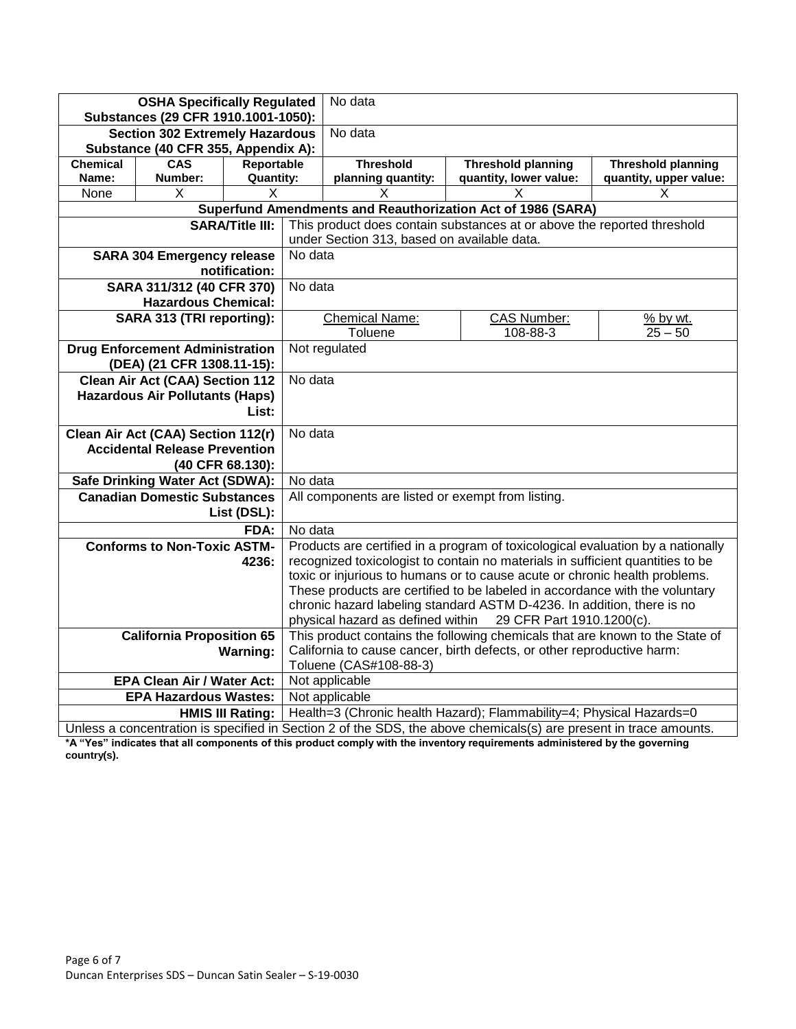| <b>OSHA Specifically Regulated</b><br>Substances (29 CFR 1910.1001-1050): |                                                                                                                  | No data                |                                                                                                  |                                                                                |                                                                                                                   |                           |  |
|---------------------------------------------------------------------------|------------------------------------------------------------------------------------------------------------------|------------------------|--------------------------------------------------------------------------------------------------|--------------------------------------------------------------------------------|-------------------------------------------------------------------------------------------------------------------|---------------------------|--|
| <b>Section 302 Extremely Hazardous</b>                                    |                                                                                                                  | No data                |                                                                                                  |                                                                                |                                                                                                                   |                           |  |
| Substance (40 CFR 355, Appendix A):                                       |                                                                                                                  |                        |                                                                                                  |                                                                                |                                                                                                                   |                           |  |
| <b>Chemical</b>                                                           | <b>CAS</b>                                                                                                       | Reportable             |                                                                                                  | <b>Threshold</b>                                                               | <b>Threshold planning</b>                                                                                         | <b>Threshold planning</b> |  |
| Name:                                                                     | Number:                                                                                                          | <b>Quantity:</b>       |                                                                                                  | planning quantity:                                                             | quantity, lower value:                                                                                            | quantity, upper value:    |  |
| None                                                                      | X                                                                                                                | X                      |                                                                                                  | X                                                                              | X                                                                                                                 | х                         |  |
|                                                                           |                                                                                                                  |                        |                                                                                                  |                                                                                | Superfund Amendments and Reauthorization Act of 1986 (SARA)                                                       |                           |  |
|                                                                           |                                                                                                                  | <b>SARA/Title III:</b> |                                                                                                  | This product does contain substances at or above the reported threshold        |                                                                                                                   |                           |  |
|                                                                           |                                                                                                                  |                        |                                                                                                  | under Section 313, based on available data.                                    |                                                                                                                   |                           |  |
|                                                                           | <b>SARA 304 Emergency release</b>                                                                                |                        | No data                                                                                          |                                                                                |                                                                                                                   |                           |  |
|                                                                           |                                                                                                                  | notification:          |                                                                                                  |                                                                                |                                                                                                                   |                           |  |
|                                                                           | SARA 311/312 (40 CFR 370)                                                                                        |                        | No data                                                                                          |                                                                                |                                                                                                                   |                           |  |
|                                                                           | <b>Hazardous Chemical:</b>                                                                                       |                        |                                                                                                  |                                                                                |                                                                                                                   |                           |  |
|                                                                           | SARA 313 (TRI reporting):                                                                                        |                        |                                                                                                  | <b>Chemical Name:</b><br>Toluene                                               | <b>CAS Number:</b><br>108-88-3                                                                                    | % by wt.<br>$25 - 50$     |  |
|                                                                           | <b>Drug Enforcement Administration</b>                                                                           |                        |                                                                                                  | Not regulated                                                                  |                                                                                                                   |                           |  |
|                                                                           | (DEA) (21 CFR 1308.11-15):                                                                                       |                        |                                                                                                  |                                                                                |                                                                                                                   |                           |  |
| <b>Clean Air Act (CAA) Section 112</b>                                    |                                                                                                                  | No data                |                                                                                                  |                                                                                |                                                                                                                   |                           |  |
|                                                                           | <b>Hazardous Air Pollutants (Haps)</b>                                                                           |                        |                                                                                                  |                                                                                |                                                                                                                   |                           |  |
|                                                                           |                                                                                                                  | List:                  |                                                                                                  |                                                                                |                                                                                                                   |                           |  |
| Clean Air Act (CAA) Section 112(r)<br>No data                             |                                                                                                                  |                        |                                                                                                  |                                                                                |                                                                                                                   |                           |  |
| <b>Accidental Release Prevention</b>                                      |                                                                                                                  |                        |                                                                                                  |                                                                                |                                                                                                                   |                           |  |
| (40 CFR 68.130):                                                          |                                                                                                                  |                        |                                                                                                  |                                                                                |                                                                                                                   |                           |  |
|                                                                           | Safe Drinking Water Act (SDWA):                                                                                  |                        | No data                                                                                          |                                                                                |                                                                                                                   |                           |  |
| <b>Canadian Domestic Substances</b>                                       |                                                                                                                  |                        | All components are listed or exempt from listing.                                                |                                                                                |                                                                                                                   |                           |  |
| List (DSL):                                                               |                                                                                                                  |                        |                                                                                                  |                                                                                |                                                                                                                   |                           |  |
|                                                                           |                                                                                                                  | FDA:                   | No data                                                                                          |                                                                                |                                                                                                                   |                           |  |
|                                                                           | <b>Conforms to Non-Toxic ASTM-</b>                                                                               |                        |                                                                                                  |                                                                                | Products are certified in a program of toxicological evaluation by a nationally                                   |                           |  |
|                                                                           |                                                                                                                  | 4236:                  |                                                                                                  | recognized toxicologist to contain no materials in sufficient quantities to be |                                                                                                                   |                           |  |
|                                                                           |                                                                                                                  |                        |                                                                                                  |                                                                                | toxic or injurious to humans or to cause acute or chronic health problems.                                        |                           |  |
|                                                                           |                                                                                                                  |                        | These products are certified to be labeled in accordance with the voluntary                      |                                                                                |                                                                                                                   |                           |  |
|                                                                           |                                                                                                                  |                        | chronic hazard labeling standard ASTM D-4236. In addition, there is no                           |                                                                                |                                                                                                                   |                           |  |
|                                                                           |                                                                                                                  |                        | physical hazard as defined within<br>29 CFR Part 1910.1200(c).                                   |                                                                                |                                                                                                                   |                           |  |
|                                                                           | This product contains the following chemicals that are known to the State of<br><b>California Proposition 65</b> |                        |                                                                                                  |                                                                                |                                                                                                                   |                           |  |
|                                                                           |                                                                                                                  | <b>Warning:</b>        | California to cause cancer, birth defects, or other reproductive harm:<br>Toluene (CAS#108-88-3) |                                                                                |                                                                                                                   |                           |  |
|                                                                           | <b>EPA Clean Air / Water Act:</b>                                                                                |                        | Not applicable                                                                                   |                                                                                |                                                                                                                   |                           |  |
|                                                                           | <b>EPA Hazardous Wastes:</b>                                                                                     |                        | Not applicable                                                                                   |                                                                                |                                                                                                                   |                           |  |
|                                                                           | Health=3 (Chronic health Hazard); Flammability=4; Physical Hazards=0<br><b>HMIS III Rating:</b>                  |                        |                                                                                                  |                                                                                |                                                                                                                   |                           |  |
|                                                                           |                                                                                                                  |                        |                                                                                                  |                                                                                | Unless a concentration is specified in Section 2 of the SDS, the above chemicals(s) are present in trace amounts. |                           |  |

**\*A "Yes" indicates that all components of this product comply with the inventory requirements administered by the governing country(s).**